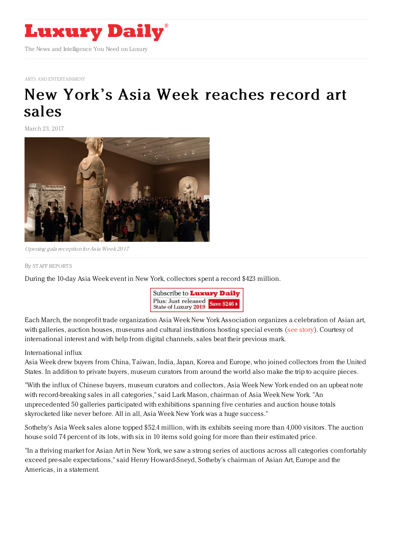

ARTS AND [ENTERTAINMENT](https://www.luxurydaily.com/category/sectors/arts-and-entertainment/)

## New York's Asia Week [reaches](https://www.luxurydaily.com/new-yorks-asia-week-reaches-record-art-sales/) record art sales

March 23, 2017



Opening gala reception forAsia Week 2017

## By STAFF [REPORT](file:///author/staff-reports) S

During the 10-day Asia Week event in New York, collectors spent a record \$423 million.



Each March, the nonprofit trade organization Asia Week New York Association organizes a celebration of Asian art, with galleries, auction houses, museums and cultural institutions hosting special events (see [story](https://www.luxurydaily.com/new-york-fetes-the-eastern-art-during-asia-week/)). Courtesy of international interest and with help from digital channels, sales beat their previous mark.

## International influx

Asia Week drew buyers from China, Taiwan, India, Japan, Korea and Europe, who joined collectors from the United States. In addition to private buyers, museum curators from around the world also make the trip to acquire pieces.

"With the influx of Chinese buyers, museum curators and collectors, Asia Week New York ended on an upbeat note with record-breaking sales in all categories," said Lark Mason, chairman of Asia Week New York. "An unprecedented 50 galleries participated with exhibitions spanning five centuries and auction house totals skyrocketed like never before. All in all, Asia Week New York was a huge success."

Sotheby's Asia Week sales alone topped \$52.4 million, with its exhibits seeing more than 4,000 visitors. The auction house sold 74 percent of its lots, with six in 10 items sold going for more than their estimated price.

"In a thriving market for Asian Art in New York, we saw a strong series of auctions across all categories comfortably exceed pre-sale expectations," said Henry Howard-Sneyd, Sotheby's chairman of Asian Art, Europe and the Americas, in a statement.